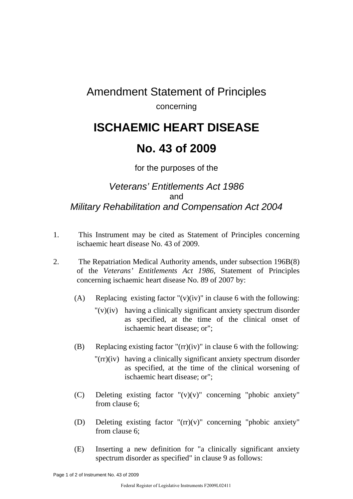### Amendment Statement of Principles concerning

# **ISCHAEMIC HEART DISEASE**

## **No. 43 of 2009**

#### for the purposes of the

#### *Veterans' Entitlements Act 1986*  and *Military Rehabilitation and Compensation Act 2004*

- 1. This Instrument may be cited as Statement of Principles concerning ischaemic heart disease No. 43 of 2009.
- 2. The Repatriation Medical Authority amends, under subsection 196B(8) of the *Veterans' Entitlements Act 1986*, Statement of Principles concerning ischaemic heart disease No. 89 of 2007 by:
	- (A) Replacing existing factor " $(v)(iv)$ " in clause 6 with the following:
		- "(v)(iv) having a clinically significant anxiety spectrum disorder as specified, at the time of the clinical onset of ischaemic heart disease; or";
	- (B) Replacing existing factor " $(rr)(iv)$ " in clause 6 with the following:
		- "(rr)(iv) having a clinically significant anxiety spectrum disorder as specified, at the time of the clinical worsening of ischaemic heart disease; or";
	- (C) Deleting existing factor "(v)(v)" concerning "phobic anxiety" from clause 6;
	- (D) Deleting existing factor "(rr)(v)" concerning "phobic anxiety" from clause 6;
	- (E) Inserting a new definition for "a clinically significant anxiety spectrum disorder as specified" in clause 9 as follows: